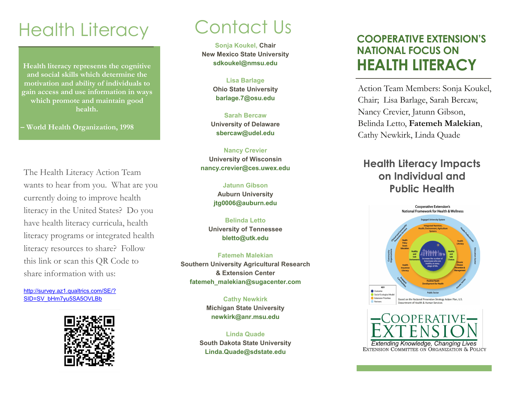# Health Literacy

**Health literacy represents the cognitive and social skills which determine the motivation and ability of individuals to gain access and use information in ways which promote and maintain good health.**

**– World Health Organization, 1998**

The Health Literacy Action Team wants to hear from you. What are you currently doing to improve health literacy in the United States? Do you have health literacy curricula, health literacy programs or integrated health literacy resources to share? Follow this link or scan this QR Code to share information with us:

[http://survey.az1.qualtrics.com/SE/?](http://survey.az1.qualtrics.com/SE/?SID=SV_bHm7yu5SA5OVLBb) [SID=SV\\_bHm7yu5SA5OVLBb](http://survey.az1.qualtrics.com/SE/?SID=SV_bHm7yu5SA5OVLBb)



# Contact Us

**Sonja Koukel, Chair New Mexico State University sdkoukel@nmsu.edu**

> **Lisa Barlage Ohio State University barlage.7@osu.edu**

**Sarah Bercaw University of Delaware sbercaw@udel.edu**

**Nancy Crevier University of Wisconsin nancy.crevier@ces.uwex.edu** 

> **Jatunn Gibson Auburn University jtg0006@auburn.edu**

**Belinda Letto University of Tennessee bletto@utk.edu**

**Fatemeh Malekian Southern University Agricultural Research & Extension Center fatemeh\_malekian@sugacenter.com**

> **Cathy Newkirk Michigan State University newkirk@anr.msu.edu**

**Linda Quade South Dakota State University Linda.Quade@sdstate.edu**

# **COOPERATIVE EXTENSION'S NATIONAL FOCUS ON HEALTH LITERACY**

Action Team Members: Sonja Koukel, Chair; Lisa Barlage, Sarah Bercaw, Nancy Crevier, Jatunn Gibson, Belinda Letto, **Fatemeh Malekian**, Cathy Newkirk, Linda Quade

## **Health Literacy Impacts on Individual and Public Health**





**Extending Knowledge, Changing Lives**<br>EXTENSION COMMITTEE ON ORGANIZATION & POLICY